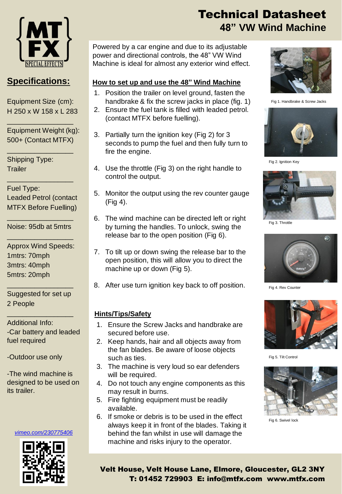

### **Specifications:**

Equipment Size (cm): H 250 x W 158 x L 283

\_\_\_\_\_\_\_\_\_\_\_\_\_\_\_\_\_

\_\_\_\_\_\_\_\_\_\_\_\_\_\_\_\_\_

\_\_\_\_\_\_\_\_\_\_\_\_\_\_\_\_\_

Equipment Weight (kg): 500+ (Contact MTFX)

Shipping Type: **Trailer** 

Fuel Type: Leaded Petrol (contact MTFX Before Fuelling)

\_\_\_\_\_\_\_\_\_\_\_\_\_\_\_\_\_ Noise: 95db at 5mtrs \_\_\_\_\_\_\_\_\_\_\_\_\_\_\_\_\_

Approx Wind Speeds: 1mtrs: 70mph 3mtrs: 40mph 5mtrs: 20mph

Suggested for set up 2 People

\_\_\_\_\_\_\_\_\_\_\_\_\_\_\_\_\_

\_\_\_\_\_\_\_\_\_\_\_\_\_\_\_\_\_

Additional Info: -Car battery and leaded fuel required

-Outdoor use only

-The wind machine is designed to be used on its trailer.

#### *[vimeo.com/230775406](https://vimeo.com/230775406)*



# Technical Datasheet **48" VW Wind Machine**

Powered by a car engine and due to its adjustable power and directional controls, the 48" VW Wind Machine is ideal for almost any exterior wind effect.

#### **How to set up and use the 48" Wind Machine**

- 1. Position the trailer on level ground, fasten the handbrake & fix the screw jacks in place (fig. 1)
- 2. Ensure the fuel tank is filled with leaded petrol. (contact MTFX before fuelling).
- 3. Partially turn the ignition key (Fig 2) for 3 seconds to pump the fuel and then fully turn to fire the engine.
- 4. Use the throttle (Fig 3) on the right handle to control the output.
- 5. Monitor the output using the rev counter gauge (Fig 4).
- 6. The wind machine can be directed left or right by turning the handles. To unlock, swing the release bar to the open position (Fig 6).
- 7. To tilt up or down swing the release bar to the open position, this will allow you to direct the machine up or down (Fig 5).
- 8. After use turn ignition key back to off position.

#### **Hints/Tips/Safety**

- 1. Ensure the Screw Jacks and handbrake are secured before use.
- 2. Keep hands, hair and all objects away from the fan blades. Be aware of loose objects such as ties.
- 3. The machine is very loud so ear defenders will be required.
- 4. Do not touch any engine components as this may result in burns.
- 5. Fire fighting equipment must be readily available.
- 6. If smoke or debris is to be used in the effect always keep it in front of the blades. Taking it behind the fan whilst in use will damage the machine and risks injury to the operator.



Fig 1. Handbrake & Screw Jacks



Fig 2. Ignition Key



Fig 3. Throttle



Fig 4. Rev Counter



Fig 5. Tilt Control



Fig 6. Swivel lock

Velt House, Velt House Lane, Elmore, Gloucester, GL2 3NY T: 01452 729903 E: info@mtfx.com www.mtfx.com